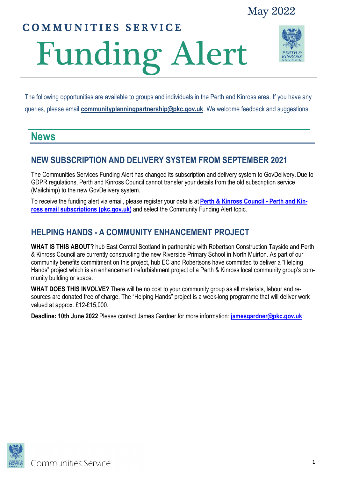## COMMUNITIES SERVICE

# Funding Alert



The following opportunities are available to groups and individuals in the Perth and Kinross area. If you have any queries, please email **[communityplanningpartnership@pkc.gov.uk](mailto:communityplanningpartnership@pkc.gov.uk)**. We welcome feedback and suggestions.

## **News**

## **NEW SUBSCRIPTION AND DELIVERY SYSTEM FROM SEPTEMBER 2021**

The Communities Services Funding Alert has changed its subscription and delivery system to GovDelivery. Due to GDPR regulations, Perth and Kinross Council cannot transfer your details from the old subscription service (Mailchimp) to the new GovDelivery system.

To receive the funding alert via email, please register your details at **[Perth & Kinross Council -](https://www.pkc.gov.uk/subscribenow) Perth and Kin[ross email subscriptions \(pkc.gov.uk\)](https://www.pkc.gov.uk/subscribenow)** and select the Community Funding Alert topic.

## **HELPING HANDS - A COMMUNITY ENHANCEMENT PROJECT**

**WHAT IS THIS ABOUT?** hub East Central Scotland in partnership with Robertson Construction Tayside and Perth & Kinross Council are currently constructing the new Riverside Primary School in North Muirton. As part of our community benefits commitment on this project, hub EC and Robertsons have committed to deliver a "Helping Hands" project which is an enhancement /refurbishment project of a Perth & Kinross local community group's community building or space.

**WHAT DOES THIS INVOLVE?** There will be no cost to your community group as all materials, labour and resources are donated free of charge. The "Helping Hands" project is a week-long programme that will deliver work valued at approx. £12-£15,000.

**Deadline: 10th June 2022** Please contact James Gardner for more information: **jamesgardner@pkc.gov.uk**

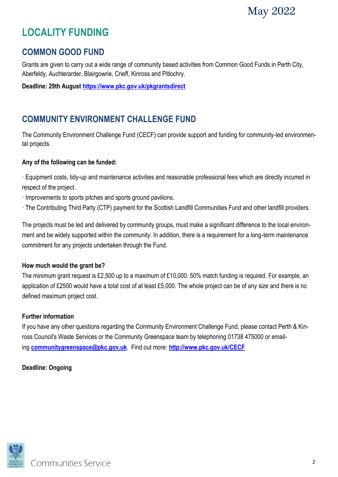## **LOCALITY FUNDING**

### **COMMON GOOD FUND**

Grants are given to carry out a wide range of community based activities from Common Good Funds in Perth City, Aberfeldy, Auchterarder, Blairgowrie, Crieff, Kinross and Pitlochry.

**Deadline: 29th August <https://www.pkc.gov.uk/pkgrantsdirect>**

## **COMMUNITY ENVIRONMENT CHALLENGE FUND**

The Community Environment Challenge Fund (CECF) can provide support and funding for community-led environmental projects.

#### **Any of the following can be funded:**

· Equipment costs, tidy-up and maintenance activities and reasonable professional fees which are directly incurred in respect of the project.

- · Improvements to sports pitches and sports ground pavilions.
- · The Contributing Third Party (CTP) payment for the Scottish Landfill Communities Fund and other landfill providers.

The projects must be led and delivered by community groups, must make a significant difference to the local environment and be widely supported within the community. In addition, there is a requirement for a long-term maintenance commitment for any projects undertaken through the Fund.

#### **How much would the grant be?**

The minimum grant request is £2,500 up to a maximum of £10,000. 50% match funding is required. For example, an application of £2500 would have a total cost of at least £5,000. The whole project can be of any size and there is no defined maximum project cost.

#### **Further information**

If you have any other questions regarding the Community Environment Challenge Fund, please contact Perth & Kinross Council's Waste Services or the Community Greenspace team by telephoning 01738 475000 or emailing **[communitygreenspace@pkc.gov.uk](mailto:communitygreenspace@pkc.gov.uk)**. Find out more: **[http://www.pkc.gov.uk/CECF](https://www.pkc.gov.uk/CECF)**

#### **Deadline: Ongoing**



Communities Service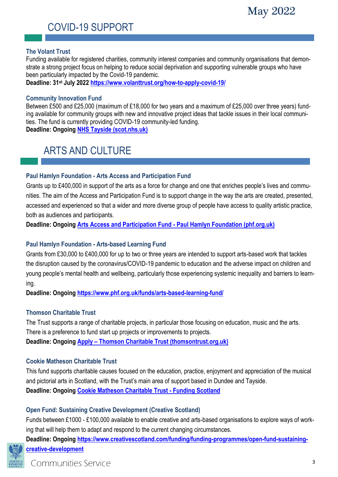## COVID-19 SUPPORT

#### **The Volant Trust**

Funding available for registered charities, community interest companies and community organisations that demonstrate a strong project focus on helping to reduce social deprivation and supporting vulnerable groups who have been particularly impacted by the Covid-19 pandemic.

**Deadline: 31st July 2022 <https://www.volanttrust.org/how-to-apply-covid-19/>**

#### **Community Innovation Fund**

Between £500 and £25,000 (maximum of £18,000 for two years and a maximum of £25,000 over three years) funding available for community groups with new and innovative project ideas that tackle issues in their local communities. The fund is currently providing COVID-19 community-led funding. **Deadline: Ongoing [NHS Tayside \(scot.nhs.uk\)](https://www.nhstayside.scot.nhs.uk/GettingInvolved/CommunityInnovationFund/index.htm)**

ARTS AND CULTURE

#### **Paul Hamlyn Foundation - Arts Access and Participation Fund**

Grants up to £400,000 in support of the arts as a force for change and one that enriches people's lives and communities. The aim of the Access and Participation Fund is to support change in the way the arts are created, presented, accessed and experienced so that a wider and more diverse group of people have access to quality artistic practice, both as audiences and participants.

**Deadline: Ongoing Arts Access and Participation Fund - [Paul Hamlyn Foundation \(phf.org.uk\)](https://www.phf.org.uk/funds/access-and-participation-fund/#purpose-of-the-fund)**

#### **Paul Hamlyn Foundation - Arts-based Learning Fund**

Grants from £30,000 to £400,000 for up to two or three years are intended to support arts-based work that tackles the disruption caused by the coronavirus/COVID-19 pandemic to education and the adverse impact on children and young people's mental health and wellbeing, particularly those experiencing systemic inequality and barriers to learning.

**Deadline: Ongoing<https://www.phf.org.uk/funds/arts-based-learning-fund/>**

#### **Thomson Charitable Trust**

The Trust supports a range of charitable projects, in particular those focusing on education, music and the arts. There is a preference to fund start up projects or improvements to projects. **Deadline: Ongoing Apply – [Thomson Charitable Trust \(thomsontrust.org.uk\)](http://thomsontrust.org.uk/apply/)**

#### **Cookie Matheson Charitable Trust**

This fund supports charitable causes focused on the education, practice, enjoyment and appreciation of the musical and pictorial arts in Scotland, with the Trust's main area of support based in Dundee and Tayside. **Deadline: Ongoing [Cookie Matheson Charitable Trust -](https://funding.scot/funds/a0Rb0000003htE1EAI/cookie-matheson-charitable-trust?geographical_areas_funded=perth-kinross&page=1) Funding Scotland**

#### **Open Fund: Sustaining Creative Development (Creative Scotland)**

Funds between £1000 - £100,000 available to enable creative and arts-based organisations to explore ways of working that will help them to adapt and respond to the current changing circumstances.

**Deadline: Ongoing [https://www.creativescotland.com/funding/funding-programmes/open-fund-sustaining](https://www.creativescotland.com/funding/funding-programmes/open-fund-sustaining-creative-development)[creative-development](https://www.creativescotland.com/funding/funding-programmes/open-fund-sustaining-creative-development)**

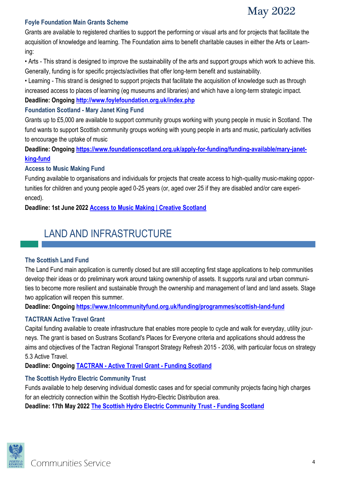## May 2022

#### **Foyle Foundation Main Grants Scheme**

Grants are available to registered charities to support the performing or visual arts and for projects that facilitate the acquisition of knowledge and learning. The Foundation aims to benefit charitable causes in either the Arts or Learning:

• Arts - This strand is designed to improve the sustainability of the arts and support groups which work to achieve this. Generally, funding is for specific projects/activities that offer long-term benefit and sustainability.

• Learning - This strand is designed to support projects that facilitate the acquisition of knowledge such as through increased access to places of learning (eg museums and libraries) and which have a long-term strategic impact. **Deadline: Ongoing<http://www.foylefoundation.org.uk/index.php>**

#### **Foundation Scotland - Mary Janet King Fund**

Grants up to £5,000 are available to support community groups working with young people in music in Scotland. The fund wants to support Scottish community groups working with young people in arts and music, particularly activities to encourage the uptake of music

**Deadline: Ongoing [https://www.foundationscotland.org.uk/apply-for-funding/funding-available/mary-janet](https://www.foundationscotland.org.uk/apply-for-funding/funding-available/mary-janet-king-fund)[king-fund](https://www.foundationscotland.org.uk/apply-for-funding/funding-available/mary-janet-king-fund)**

#### **Access to Music Making Fund**

Funding available to organisations and individuals for projects that create access to high-quality music-making opportunities for children and young people aged 0-25 years (or, aged over 25 if they are disabled and/or care experienced).

**Deadline: 1st June 2022 [Access to Music Making | Creative Scotland](https://www.creativescotland.com/funding/funding-programmes/targeted-funding/youth-music-initiative/access-to-music-making)**

## LAND AND INFRASTRUCTURE

#### **The Scottish Land Fund**

The Land Fund main application is currently closed but are still accepting first stage applications to help communities develop their ideas or do preliminary work around taking ownership of assets. It supports rural and urban communities to become more resilient and sustainable through the ownership and management of land and land assets. Stage two application will reopen this summer.

**Deadline: Ongoing <https://www.tnlcommunityfund.org.uk/funding/programmes/scottish-land-fund>**

#### **TACTRAN Active Travel Grant**

Capital funding available to create infrastructure that enables more people to cycle and walk for everyday, utility journeys. The grant is based on Sustrans Scotland's Places for Everyone criteria and applications should address the aims and objectives of the Tactran Regional Transport Strategy Refresh 2015 - 2036, with particular focus on strategy 5.3 Active Travel.

**Deadline: Ongoing TACTRAN - [Active Travel Grant -](https://funding.scot/funds/a0Rb000000CCytoEAD/tactran-active-travel-grant?geographical_areas_funded=perth-kinross&page=3) Funding Scotland**

#### **The Scottish Hydro Electric Community Trust**

Funds available to help deserving individual domestic cases and for special community projects facing high charges for an electricity connection within the Scottish Hydro-Electric Distribution area. **Deadline: 17th May 2022 [The Scottish Hydro Electric Community Trust -](https://funding.scot/funds/a0Rb0000000Ng8FEAS/the-scottish-hydro-electric-community-trust?geographical_areas_funded=perth-kinross&page=4) Funding Scotland**

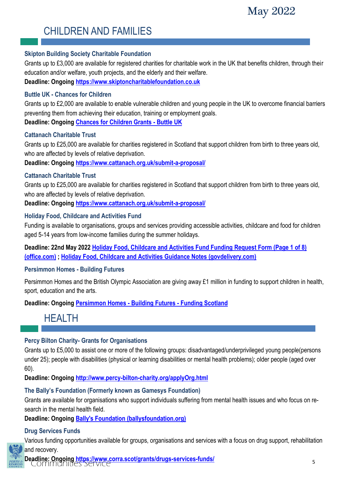

## CHILDREN AND FAMILIES

#### **Skipton Building Society Charitable Foundation**

Grants up to £3,000 are available for registered charities for charitable work in the UK that benefits children, through their education and/or welfare, youth projects, and the elderly and their welfare.

**Deadline: Ongoing<https://www.skiptoncharitablefoundation.co.uk>**

#### **Buttle UK - Chances for Children**

Grants up to £2,000 are available to enable vulnerable children and young people in the UK to overcome financial barriers preventing them from achieving their education, training or employment goals. **Deadline: Ongoing [Chances for Children Grants -](https://buttleuk.org/apply-for-a-grant/chances-for-children-grants/) Buttle UK**

#### **Cattanach Charitable Trust**

Grants up to £25,000 are available for charities registered in Scotland that support children from birth to three years old, who are affected by levels of relative deprivation.

**Deadline: Ongoing<https://www.cattanach.org.uk/submit-a-proposal/>**

#### **Cattanach Charitable Trust**

Grants up to £25,000 are available for charities registered in Scotland that support children from birth to three years old, who are affected by levels of relative deprivation.

**Deadline: Ongoing<https://www.cattanach.org.uk/submit-a-proposal/>**

#### **Holiday Food, Childcare and Activities Fund**

Funding is available to organisations, groups and services providing accessible activities, childcare and food for children aged 5-14 years from low-income families during the summer holidays.

**Deadline: 22nd May 2022 [Holiday Food, Childcare and Activities Fund Funding](https://forms.office.com/Pages/ResponsePage.aspx?id=6dxqdyZdSUeiAvCf7-EFkL9WyTr944xMq4uYhleSUO1UNk5HUzZKSzZMRUVGWk1TS0owSFNKWjJPTi4u&utm_medium=email&utm_source=govdelivery) Request Form (Page 1 of 8) [\(office.com\)](https://forms.office.com/Pages/ResponsePage.aspx?id=6dxqdyZdSUeiAvCf7-EFkL9WyTr944xMq4uYhleSUO1UNk5HUzZKSzZMRUVGWk1TS0owSFNKWjJPTi4u&utm_medium=email&utm_source=govdelivery) ; [Holiday Food, Childcare and Activities Guidance Notes \(govdelivery.com\)](https://content.govdelivery.com/attachments/UKPKC/2022/05/06/file_attachments/2152161/Holiday%20Food,%20Childcare%20and%20Activities%20Guidance%20Notes1.pdf)**

#### **Persimmon Homes - Building Futures**

Persimmon Homes and the British Olympic Association are giving away £1 million in funding to support children in health, sport, education and the arts.

**Deadline: Ongoing [Persimmon Homes -](https://funding.scot/funds/a0R0N00000Qxx2KUAR/persimmon-homes-building-futures?geographical_areas_funded=perth-kinross&page=2) Building Futures - Funding Scotland**

## HEALTH

#### **Percy Bilton Charity- Grants for Organisations**

Grants up to £5,000 to assist one or more of the following groups: disadvantaged/underprivileged young people(persons under 25); people with disabilities (physical or learning disabilities or mental health problems); older people (aged over 60).

**Deadline: Ongoing<http://www.percy-bilton-charity.org/applyOrg.html>**

#### **The Bally's Foundation (Formerly known as Gamesys Foundation)**

Grants are available for organisations who support individuals suffering from mental health issues and who focus on research in the mental health field.

**Deadline: Ongoing [Bally's Foundation \(ballysfoundation.org\)](https://www.ballysfoundation.org/)**

#### **Drug Services Funds**

Various funding opportunities available for groups, organisations and services with a focus on drug support, rehabilitation and recovery.

**Deadline: Ongoing<https://www.corra.scot/grants/drugs-services-funds/>**<br>COMMUNIUES SERVICE

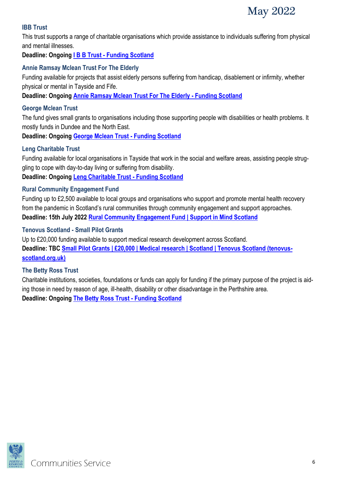

#### **IBB Trust**

This trust supports a range of charitable organisations which provide assistance to individuals suffering from physical and mental illnesses.

**Deadline: Ongoing I B B Trust - [Funding Scotland](https://funding.scot/funds/a0Rb0000000Ng6lEAC/i-b-b-trust?geographical_areas_funded=perth-kinross&page=1)**

#### **Annie Ramsay Mclean Trust For The Elderly**

Funding available for projects that assist elderly persons suffering from handicap, disablement or infirmity, whether physical or mental in Tayside and Fife.

**Deadline: Ongoing [Annie Ramsay Mclean Trust For The Elderly -](https://funding.scot/funds/a0Rb0000000Ng7IEAS/annie-ramsay-mclean-trust-for-the-elderly?geographical_areas_funded=perth-kinross&page=3) Funding Scotland**

#### **George Mclean Trust**

The fund gives small grants to organisations including those supporting people with disabilities or health problems. It mostly funds in Dundee and the North East.

**Deadline: Ongoing [George Mclean Trust -](https://funding.scot/funds/a0Rb0000000Ng6QEAS/george-mclean-trust?geographical_areas_funded=perth-kinross&page=4) Funding Scotland**

#### **Leng Charitable Trust**

Funding available for local organisations in Tayside that work in the social and welfare areas, assisting people struggling to cope with day-to-day living or suffering from disability.

**Deadline: Ongoing [Leng Charitable Trust -](https://funding.scot/funds/a0Rb0000000Ng73EAC/leng-charitable-trust) Funding Scotland**

#### **Rural Community Engagement Fund**

Funding up to £2,500 available to local groups and organisations who support and promote mental health recovery from the pandemic in Scotland's rural communities through community engagement and support approaches. **Deadline: 15th July 2022 [Rural Community Engagement Fund | Support in Mind Scotland](https://www.supportinmindscotland.org.uk/news/rural-community-engagement-fund)**

#### **Tenovus Scotland - Small Pilot Grants**

Up to £20,000 funding available to support medical research development across Scotland. **Deadline: TBC [Small Pilot Grants | £20,000 | Medical research | Scotland | Tenovus Scotland \(tenovus](https://tenovus-scotland.org.uk/for-researchers/pilot-grants/)[scotland.org.uk\)](https://tenovus-scotland.org.uk/for-researchers/pilot-grants/)**

#### **The Betty Ross Trust**

Charitable institutions, societies, foundations or funds can apply for funding if the primary purpose of the project is aiding those in need by reason of age, ill-health, disability or other disadvantage in the Perthshire area. **Deadline: Ongoing [The Betty Ross Trust -](https://funding.scot/funds/a0Rb0000005kOY4EAM/the-betty-ross-trust?geographical_areas_funded=perth-kinross&page=2) Funding Scotland**

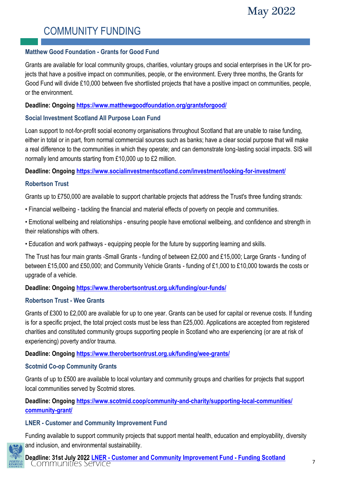## COMMUNITY FUNDING

#### **Matthew Good Foundation - Grants for Good Fund**

Grants are available for local community groups, charities, voluntary groups and social enterprises in the UK for projects that have a positive impact on communities, people, or the environment. Every three months, the Grants for Good Fund will divide £10,000 between five shortlisted projects that have a positive impact on communities, people, or the environment.

#### **Deadline: Ongoing <https://www.matthewgoodfoundation.org/grantsforgood/>**

#### **Social Investment Scotland All Purpose Loan Fund**

Loan support to not-for-profit social economy organisations throughout Scotland that are unable to raise funding, either in total or in part, from normal commercial sources such as banks; have a clear social purpose that will make a real difference to the communities in which they operate; and can demonstrate long-lasting social impacts. SIS will normally lend amounts starting from £10,000 up to £2 million.

**Deadline: Ongoing <https://www.socialinvestmentscotland.com/investment/looking-for-investment/>**

#### **Robertson Trust**

Grants up to £750,000 are available to support charitable projects that address the Trust's three funding strands:

- Financial wellbeing tackling the financial and material effects of poverty on people and communities.
- Emotional wellbeing and relationships ensuring people have emotional wellbeing, and confidence and strength in their relationships with others.
- Education and work pathways equipping people for the future by supporting learning and skills.

The Trust has four main grants -Small Grants - funding of between £2,000 and £15,000; Large Grants - funding of between £15,000 and £50,000; and Community Vehicle Grants - funding of £1,000 to £10,000 towards the costs or upgrade of a vehicle.

#### **Deadline: Ongoing <https://www.therobertsontrust.org.uk/funding/our-funds/>**

#### **Robertson Trust - Wee Grants**

Grants of £300 to £2,000 are available for up to one year. Grants can be used for capital or revenue costs. If funding is for a specific project, the total project costs must be less than £25,000. Applications are accepted from registered charities and constituted community groups supporting people in Scotland who are experiencing (or are at risk of experiencing) poverty and/or trauma.

**Deadline: Ongoing <https://www.therobertsontrust.org.uk/funding/wee-grants/>**

#### **Scotmid Co-op Community Grants**

Grants of up to £500 are available to local voluntary and community groups and charities for projects that support local communities served by Scotmid stores.

**Deadline: Ongoing [https://www.scotmid.coop/community-and-charity/supporting-local-communities/](https://www.scotmid.coop/community-and-charity/supporting-local-communities/community-grant/) [community-grant/](https://www.scotmid.coop/community-and-charity/supporting-local-communities/community-grant/)**

#### **LNER - Customer and Community Improvement Fund**

Funding available to support community projects that support mental health, education and employability, diversity and inclusion, and environmental sustainability.

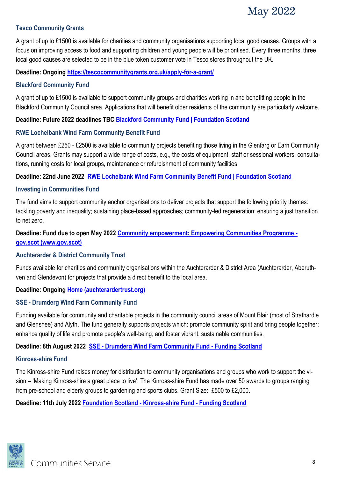

#### **Tesco Community Grants**

A grant of up to £1500 is available for charities and community organisations supporting local good causes. Groups with a focus on improving access to food and supporting children and young people will be prioritised. Every three months, three local good causes are selected to be in the blue token customer vote in Tesco stores throughout the UK.

#### **Deadline: Ongoing <https://tescocommunitygrants.org.uk/apply-for-a-grant/>**

#### **Blackford Community Fund**

A grant of up to £1500 is available to support community groups and charities working in and benefitting people in the Blackford Community Council area. Applications that will benefit older residents of the community are particularly welcome.

**Deadline: Future 2022 deadlines TBC [Blackford Community Fund | Foundation Scotland](https://www.foundationscotland.org.uk/apply-for-funding/funding-available/blackford)**

#### **RWE Lochelbank Wind Farm Community Benefit Fund**

A grant between £250 - £2500 is available to community projects benefiting those living in the Glenfarg or Earn Community Council areas. Grants may support a wide range of costs, e.g., the costs of equipment, staff or sessional workers, consultations, running costs for local groups, maintenance or refurbishment of community facilities

#### **Deadline: 22nd June 2022 [RWE Lochelbank Wind Farm Community Benefit Fund | Foundation Scotland](https://www.foundationscotland.org.uk/apply-for-funding/funding-available/lochelbank)**

#### **Investing in Communities Fund**

The fund aims to support community anchor organisations to deliver projects that support the following priority themes: tackling poverty and inequality; sustaining place-based approaches; community-led regeneration; ensuring a just transition to net zero.

#### **Deadline: Fund due to open May 2022 [Community empowerment: Empowering Communities Programme](https://www.gov.scot/policies/community-empowerment/empowering-communities-fund/)  [gov.scot \(www.gov.scot\)](https://www.gov.scot/policies/community-empowerment/empowering-communities-fund/)**

#### **Auchterarder & District Community Trust**

Funds available for charities and community organisations within the Auchterarder & District Area (Auchterarder, Aberuthven and Glendevon) for projects that provide a direct benefit to the local area.

#### **Deadline: Ongoing [Home \(auchterardertrust.org\)](https://www.auchterardertrust.org/)**

#### **SSE - Drumderg Wind Farm Community Fund**

Funding available for community and charitable projects in the community council areas of Mount Blair (most of Strathardle and Glenshee) and Alyth. The fund generally supports projects which: promote community spirit and bring people together; enhance quality of life and promote people's well-being; and foster vibrant, sustainable communities.

#### **Deadline: 8th August 2022 SSE - [Drumderg Wind Farm Community Fund -](https://funding.scot/funds/a0Rb0000003i21IEAQ/sse-drumderg-wind-farm-community-fund?geographical_areas_funded=perth-kinross&page=3) Funding Scotland**

#### **Kinross-shire Fund**

The Kinross-shire Fund raises money for distribution to community organisations and groups who work to support the vision – 'Making Kinross-shire a great place to live'. The Kinross-shire Fund has made over 50 awards to groups ranging from pre-school and elderly groups to gardening and sports clubs. Grant Size: £500 to £2,000.

**Deadline: 11th July 2022 [Foundation Scotland -](https://funding.scot/funds/a0Rb0000003htqcEAA/foundation-scotland-kinross-shire-fund?geographical_areas_funded=perth-kinross&page=4) Kinross-shire Fund - Funding Scotland**

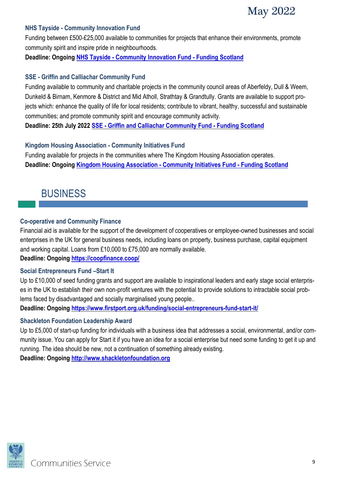

#### **NHS Tayside - Community Innovation Fund**

Funding between £500-£25,000 available to communities for projects that enhance their environments, promote community spirit and inspire pride in neighbourhoods.

**Deadline: Ongoing NHS Tayside - [Community Innovation Fund -](https://funding.scot/funds/a0Rb0000000Ng7aEAC/nhs-tayside-community-innovation-fund?geographical_areas_funded=perth-kinross&page=4) Funding Scotland**

#### **SSE - Griffin and Calliachar Community Fund**

Funding available to community and charitable projects in the community council areas of Aberfeldy, Dull & Weem, Dunkeld & Birnam, Kenmore & District and Mid Atholl, Strathtay & Grandtully. Grants are available to support projects which: enhance the quality of life for local residents; contribute to vibrant, healthy, successful and sustainable communities; and promote community spirit and encourage community activity.

**Deadline: 25th July 2022 SSE - [Griffin and Calliachar Community Fund -](https://funding.scot/funds/a0Rb0000003gr2FEAQ/sse-griffin-and-calliachar-community-fund?geographical_areas_funded=perth-kinross&page=4) Funding Scotland**

#### **Kingdom Housing Association - Community Initiatives Fund**

Funding available for projects in the communities where The Kingdom Housing Association operates. **Deadline: Ongoing [Kingdom Housing Association -](https://funding.scot/funds/a0Rb000000EUzvxEAD/kingdom-housing-association-community-initiatives-fund?geographical_areas_funded=perth-kinross&page=5) Community Initiatives Fund - Funding Scotland**

## BUSINESS

#### **Co-operative and Community Finance**

Financial aid is available for the support of the development of cooperatives or employee-owned businesses and social enterprises in the UK for general business needs, including loans on property, business purchase, capital equipment and working capital. Loans from £10,000 to £75,000 are normally available.

**Deadline: Ongoing <https://coopfinance.coop/>**

#### **Social Entrepreneurs Fund –Start It**

Up to £10,000 of seed funding grants and support are available to inspirational leaders and early stage social enterprises in the UK to establish their own non-profit ventures with the potential to provide solutions to intractable social problems faced by disadvantaged and socially marginalised young people..

**Deadline: Ongoing <https://www.firstport.org.uk/funding/social-entrepreneurs-fund-start-it/>**

#### **Shackleton Foundation Leadership Award**

Up to £5,000 of start-up funding for individuals with a business idea that addresses a social, environmental, and/or community issue. You can apply for Start it if you have an idea for a social enterprise but need some funding to get it up and running. The idea should be new, not a continuation of something already existing. **Deadline: Ongoing <http://www.shackletonfoundation.org>**

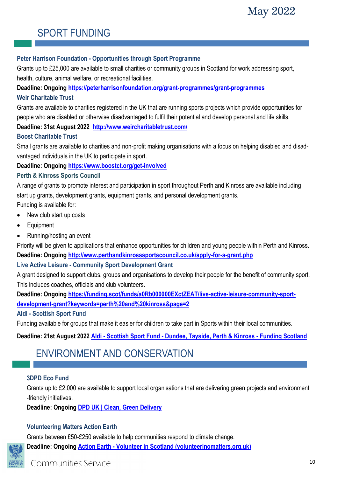## SPORT FUNDING

#### **Peter Harrison Foundation - Opportunities through Sport Programme**

Grants up to £25,000 are available to small charities or community groups in Scotland for work addressing sport, health, culture, animal welfare, or recreational facilities.

**Deadline: Ongoing<https://peterharrisonfoundation.org/grant-programmes/grant-programmes>**

#### **Weir Charitable Trust**

Grants are available to charities registered in the UK that are running sports projects which provide opportunities for people who are disabled or otherwise disadvantaged to fulfil their potential and develop personal and life skills.

**Deadline: 31st August 2022 <http://www.weircharitabletrust.com/>**

#### **Boost Charitable Trust**

Small grants are available to charities and non-profit making organisations with a focus on helping disabled and disadvantaged individuals in the UK to participate in sport.

#### **Deadline: Ongoing<https://www.boostct.org/get-involved>**

#### **Perth & Kinross Sports Council**

A range of grants to promote interest and participation in sport throughout Perth and Kinross are available including start up grants, development grants, equipment grants, and personal development grants. Funding is available for:

- New club start up costs
- Equipment
- Running/hosting an event

Priority will be given to applications that enhance opportunities for children and young people within Perth and Kinross. **Deadline: Ongoing<http://www.perthandkinrosssportscouncil.co.uk/apply-for-a-grant.php>**

#### **Live Active Leisure - Community Sport Development Grant**

A grant designed to support clubs, groups and organisations to develop their people for the benefit of community sport. This includes coaches, officials and club volunteers.

**Deadline: Ongoing [https://funding.scot/funds/a0Rb000000EXctZEAT/live-active-leisure-community-sport](https://funding.scot/funds/a0Rb000000EXctZEAT/live-active-leisure-community-sport-development-grant?keywords=perth%20and%20kinross&page=2)[development-grant?keywords=perth%20and%20kinross&page=2](https://funding.scot/funds/a0Rb000000EXctZEAT/live-active-leisure-community-sport-development-grant?keywords=perth%20and%20kinross&page=2)**

#### **Aldi - Scottish Sport Fund**

Funding available for groups that make it easier for children to take part in Sports within their local communities.

**Deadline: 21st August 2022 Aldi - Scottish Sport Fund - [Dundee, Tayside, Perth & Kinross -](https://funding.scot/funds/a0Rb000000CF06tEAD/aldi-scottish-sport-fund-dundee-tayside-perth-kinross?geographical_areas_funded=perth-kinross&page=5) Funding Scotland**

## ENVIRONMENT AND CONSERVATION

#### **3DPD Eco Fund**

Grants up to £2,000 are available to support local organisations that are delivering green projects and environment -friendly initiatives.

**Deadline: Ongoing [DPD UK | Clean, Green Delivery](https://green.dpd.co.uk/)**

#### **Volunteering Matters Action Earth**

Grants between £50-£250 available to help communities respond to climate change. **Deadline: Ongoing Action Earth - [Volunteer in Scotland \(volunteeringmatters.org.uk\)](https://volunteeringmatters.org.uk/project/action-earth/)**

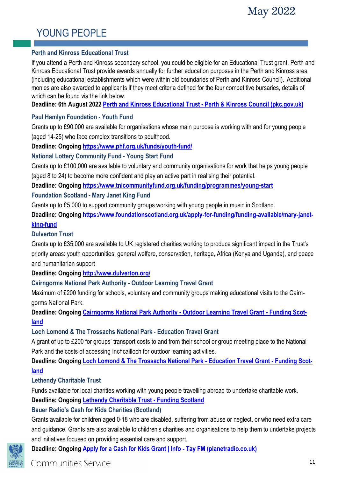## YOUNG PEOPLE

#### **Perth and Kinross Educational Trust**

If you attend a Perth and Kinross secondary school, you could be eligible for an Educational Trust grant. Perth and Kinross Educational Trust provide awards annually for further education purposes in the Perth and Kinross area (including educational establishments which were within old boundaries of Perth and Kinross Council). Additional monies are also awarded to applicants if they meet criteria defined for the four competitive bursaries, details of which can be found via the link below.

**Deadline: 6th August 2022 [Perth and Kinross Educational Trust -](https://www.pkc.gov.uk/article/17411/Perth-and-Kinross-Educational-Trust) Perth & Kinross Council (pkc.gov.uk)**

#### **Paul Hamlyn Foundation - Youth Fund**

Grants up to £90,000 are available for organisations whose main purpose is working with and for young people (aged 14-25) who face complex transitions to adulthood.

**Deadline: Ongoing <https://www.phf.org.uk/funds/youth-fund/>**

#### **National Lottery Community Fund - Young Start Fund**

Grants up to £100,000 are available to voluntary and community organisations for work that helps young people (aged 8 to 24) to become more confident and play an active part in realising their potential.

**Deadline: Ongoing <https://www.tnlcommunityfund.org.uk/funding/programmes/young-start>**

#### **Foundation Scotland - Mary Janet King Fund**

Grants up to £5,000 to support community groups working with young people in music in Scotland.

**Deadline: Ongoing [https://www.foundationscotland.org.uk/apply-for-funding/funding-available/mary-janet](https://www.foundationscotland.org.uk/apply-for-funding/funding-available/mary-janet-king-fund)[king-fund](https://www.foundationscotland.org.uk/apply-for-funding/funding-available/mary-janet-king-fund)**

#### **Dulverton Trust**

Grants up to £35,000 are available to UK registered charities working to produce significant impact in the Trust's priority areas: youth opportunities, general welfare, conservation, heritage, Africa (Kenya and Uganda), and peace and humanitarian support

**Deadline: Ongoing <http://www.dulverton.org/>**

#### **Cairngorms National Park Authority - Outdoor Learning Travel Grant**

Maximum of £200 funding for schools, voluntary and community groups making educational visits to the Cairngorms National Park.

**Deadline: Ongoing [Cairngorms National Park Authority -](https://funding.scot/funds/a0Rb0000003ig3vEAA/cairngorms-national-park-authority-outdoor-learning-travel-grant?geographical_areas_funded=perth-kinross&page=3) Outdoor Learning Travel Grant - Funding Scot[land](https://funding.scot/funds/a0Rb0000003ig3vEAA/cairngorms-national-park-authority-outdoor-learning-travel-grant?geographical_areas_funded=perth-kinross&page=3)**

#### **Loch Lomond & The Trossachs National Park - Education Travel Grant**

A grant of up to £200 for groups' transport costs to and from their school or group meeting place to the National Park and the costs of accessing Inchcailloch for outdoor learning activities.

**Deadline: Ongoing [Loch Lomond & The Trossachs National Park -](https://funding.scot/funds/a0Rb0000007YV1mEAG/loch-lomond-the-trossachs-national-park-education-travel-grant?geographical_areas_funded=perth-kinross&page=4) Education Travel Grant - Funding Scot[land](https://funding.scot/funds/a0Rb0000007YV1mEAG/loch-lomond-the-trossachs-national-park-education-travel-grant?geographical_areas_funded=perth-kinross&page=4)**

#### **Lethendy Charitable Trust**

Funds available for local charities working with young people travelling abroad to undertake charitable work. **Deadline: Ongoing [Lethendy Charitable Trust -](https://funding.scot/funds/a0Rb0000007VzLaEAK/lethendy-charitable-trust?geographical_areas_funded=perth-kinross&page=1#tab:fund_details) Funding Scotland**

#### **Bauer Radio's Cash for Kids Charities (Scotland)**

Grants available for children aged 0-18 who are disabled, suffering from abuse or neglect, or who need extra care and guidance. Grants are also available to children's charities and organisations to help them to undertake projects and initiatives focused on providing essential care and support.

**Deadline: Ongoing [Apply for a Cash for Kids Grant | Info -](https://planetradio.co.uk/tay/charity/info/grants-tay/) Tay FM (planetradio.co.uk)**

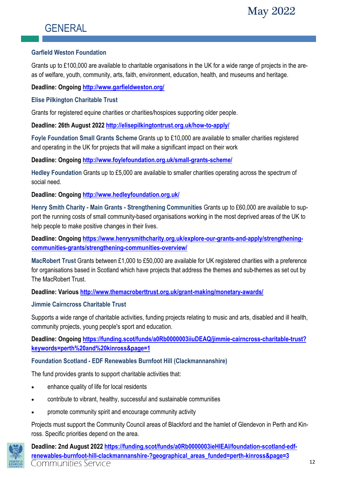## **GENERAL**

#### **Garfield Weston Foundation**

Grants up to £100,000 are available to charitable organisations in the UK for a wide range of projects in the areas of welfare, youth, community, arts, faith, environment, education, health, and museums and heritage.

**Deadline: Ongoing <http://www.garfieldweston.org/>**

#### **Elise Pilkington Charitable Trust**

Grants for registered equine charities or charities/hospices supporting older people.

**Deadline: 26th August 2022 <http://elisepilkingtontrust.org.uk/how-to-apply/>**

**Foyle Foundation Small Grants Scheme** Grants up to £10,000 are available to smaller charities registered and operating in the UK for projects that will make a significant impact on their work

**Deadline: Ongoing <http://www.foylefoundation.org.uk/small-grants-scheme/>**

**Hedley Foundation** Grants up to £5,000 are available to smaller charities operating across the spectrum of social need.

**Deadline: Ongoing <http://www.hedleyfoundation.org.uk/>**

**Henry Smith Charity - Main Grants - Strengthening Communities** Grants up to £60,000 are available to support the running costs of small community-based organisations working in the most deprived areas of the UK to help people to make positive changes in their lives.

**Deadline: Ongoing [https://www.henrysmithcharity.org.uk/explore-our-grants-and-apply/strengthening](https://www.henrysmithcharity.org.uk/explore-our-grants-and-apply/strengthening-communities-grants/strengthening-communities-overview/)[communities-grants/strengthening-communities-overview/](https://www.henrysmithcharity.org.uk/explore-our-grants-and-apply/strengthening-communities-grants/strengthening-communities-overview/)**

**MacRobert Trust** Grants between £1,000 to £50,000 are available for UK registered charities with a preference for organisations based in Scotland which have projects that address the themes and sub-themes as set out by The MacRobert Trust.

**Deadline: Various<http://www.themacroberttrust.org.uk/grant-making/monetary-awards/>**

#### **Jimmie Cairncross Charitable Trust**

Supports a wide range of charitable activities, funding projects relating to music and arts, disabled and ill health, community projects, young people's sport and education.

**Deadline: Ongoing [https://funding.scot/funds/a0Rb0000003iiuDEAQ/jimmie-cairncross-charitable-trust?](https://funding.scot/funds/a0Rb0000003iiuDEAQ/jimmie-cairncross-charitable-trust?keywords=perth%20and%20kinross&page=1) [keywords=perth%20and%20kinross&page=1](https://funding.scot/funds/a0Rb0000003iiuDEAQ/jimmie-cairncross-charitable-trust?keywords=perth%20and%20kinross&page=1)**

#### **Foundation Scotland - EDF Renewables Burnfoot Hill (Clackmannanshire)**

The fund provides grants to support charitable activities that:

- enhance quality of life for local residents
- contribute to vibrant, healthy, successful and sustainable communities
- promote community spirit and encourage community activity

Projects must support the Community Council areas of Blackford and the hamlet of Glendevon in Perth and Kinross. Specific priorities depend on the area.



**Deadline: 2nd August 2022 [https://funding.scot/funds/a0Rb0000003ieHlEAI/foundation-scotland-edf](https://funding.scot/funds/a0Rb0000003ieHlEAI/foundation-scotland-edf-renewables-burnfoot-hill-clackmannanshire-?geographical_areas_funded=perth-kinross&page=3)[renewables-burnfoot-hill-clackmannanshire-?geographical\\_areas\\_funded=perth-kinross&page=3](https://funding.scot/funds/a0Rb0000003ieHlEAI/foundation-scotland-edf-renewables-burnfoot-hill-clackmannanshire-?geographical_areas_funded=perth-kinross&page=3)** Communities Service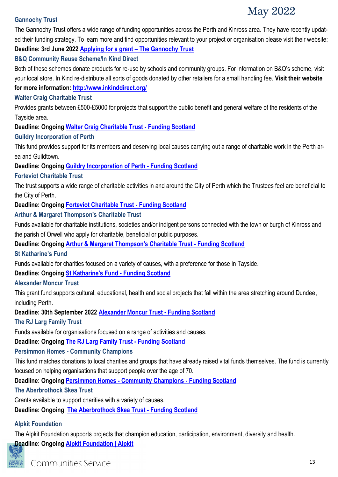## May 2022

#### **Gannochy Trust**

The Gannochy Trust offers a wide range of funding opportunities across the Perth and Kinross area. They have recently updated their funding strategy. To learn more and find opportunities relevant to your project or organisation please visit their website: **Deadline: 3rd June 2022 [Applying for a grant](https://www.gannochytrust.org.uk/our-grants/applying-for-grant-funding/) – The Gannochy Trust**

#### **B&Q Community Reuse Scheme/In Kind Direct**

Both of these schemes donate products for re-use by schools and community groups. For information on B&Q's scheme, visit your local store. In Kind re-distribute all sorts of goods donated by other retailers for a small handling fee. **Visit their website for more information:<http://www.inkinddirect.org/>**

#### **Walter Craig Charitable Trust**

Provides grants between £500-£5000 for projects that support the public benefit and general welfare of the residents of the Tayside area.

#### **Deadline: Ongoing [Walter Craig Charitable Trust -](https://funding.scot/funds/a0Rb0000007W1gyEAC/walter-craig-charitable-trust?geographical_areas_funded=perth-kinross&page=1) Funding Scotland**

#### **Guildry Incorporation of Perth**

This fund provides support for its members and deserving local causes carrying out a range of charitable work in the Perth area and Guildtown.

#### **Deadline: Ongoing [Guildry Incorporation of Perth -](https://funding.scot/funds/a0Rb00000094gn3EAA/guildry-incorporation-of-perth?geographical_areas_funded=perth-kinross&page=1) Funding Scotland**

#### **Forteviot Charitable Trust**

The trust supports a wide range of charitable activities in and around the City of Perth which the Trustees feel are beneficial to the City of Perth.

**Deadline: Ongoing [Forteviot Charitable Trust -](https://funding.scot/funds/a0Rb0000000Ng6KEAS/forteviot-charitable-trust?geographical_areas_funded=perth-kinross&page=1) Funding Scotland**

#### **Arthur & Margaret Thompson's Charitable Trust**

Funds available for charitable institutions, societies and/or indigent persons connected with the town or burgh of Kinross and the parish of Orwell who apply for charitable, beneficial or public purposes.

**Deadline: Ongoing [Arthur & Margaret Thompson's Charitable Trust -](https://funding.scot/funds/a0Rb0000000Ng9eEAC/arthur-margaret-thompson-s-charitable-trust?geographical_areas_funded=perth-kinross&page=2) Funding Scotland**

#### **St Katharine's Fund**

Funds available for charities focused on a variety of causes, with a preference for those in Tayside.

**Deadline: Ongoing [St Katharine's Fund -](https://funding.scot/funds/a0Rb0000000Ng8fEAC/st-katharine-s-fund?geographical_areas_funded=perth-kinross&page=2) Funding Scotland**

#### **Alexander Moncur Trust**

This grant fund supports cultural, educational, health and social projects that fall within the area stretching around Dundee, including Perth.

#### **Deadline: 30th September 2022 [Alexander Moncur Trust -](https://funding.scot/funds/a0Rb0000000Ng7PEAS/alexander-moncur-trust?geographical_areas_funded=perth-kinross&page=2) Funding Scotland**

#### **The RJ Larg Family Trust**

Funds available for organisations focused on a range of activities and causes.

**Deadline: Ongoing [The RJ Larg Family Trust -](https://funding.scot/funds/a0Rb0000000Ng71EAC/the-rj-larg-family-trust?geographical_areas_funded=perth-kinross&page=2) Funding Scotland**

#### **Persimmon Homes - Community Champions**

This fund matches donations to local charities and groups that have already raised vital funds themselves. The fund is currently focused on helping organisations that support people over the age of 70.

**Deadline: Ongoing Persimmon Homes - [Community Champions -](https://funding.scot/funds/a0Rb0000007WQhMEAW/persimmon-homes-community-champions?geographical_areas_funded=perth-kinross&page=3) Funding Scotland**

#### **The Aberbrothock Skea Trust**

Grants available to support charities with a variety of causes.

**Deadline: Ongoing [The Aberbrothock Skea Trust -](https://funding.scot/funds/a0Rb0000003gqzuEAA/the-aberbrothock-skea-trust?geographical_areas_funded=perth-kinross&page=5) Funding Scotland**

#### **Alpkit Foundation**

The Alpkit Foundation supports projects that champion education, participation, environment, diversity and health.

**Deadline: Ongoing [Alpkit Foundation | Alpkit](https://alpkit.com/pages/foundation#apply)**